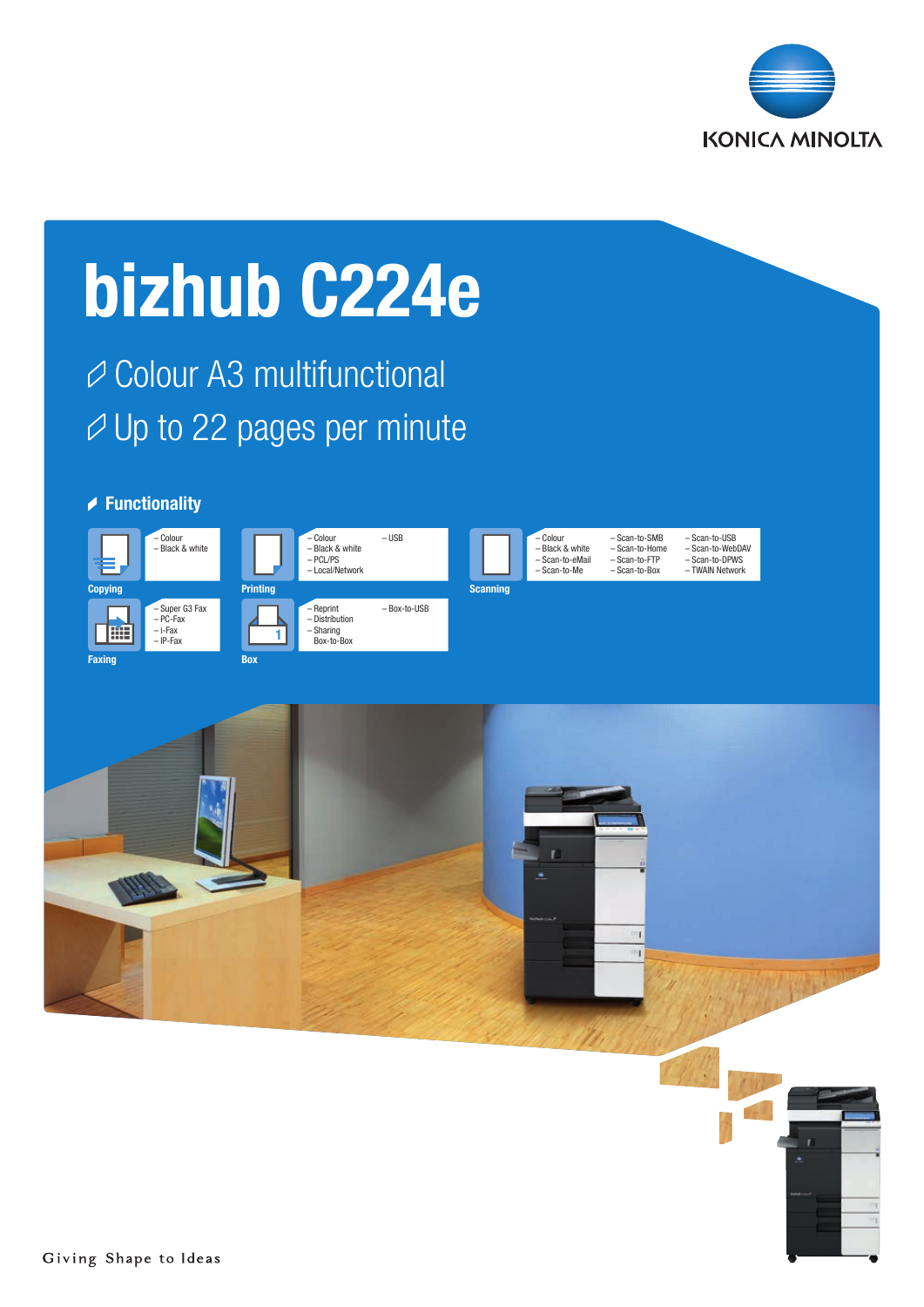

# bizhub C224e

**⊘ Colour A3 multifunctional**  $\varnothing$  Up to 22 pages per minute

## **▶ Functionality**





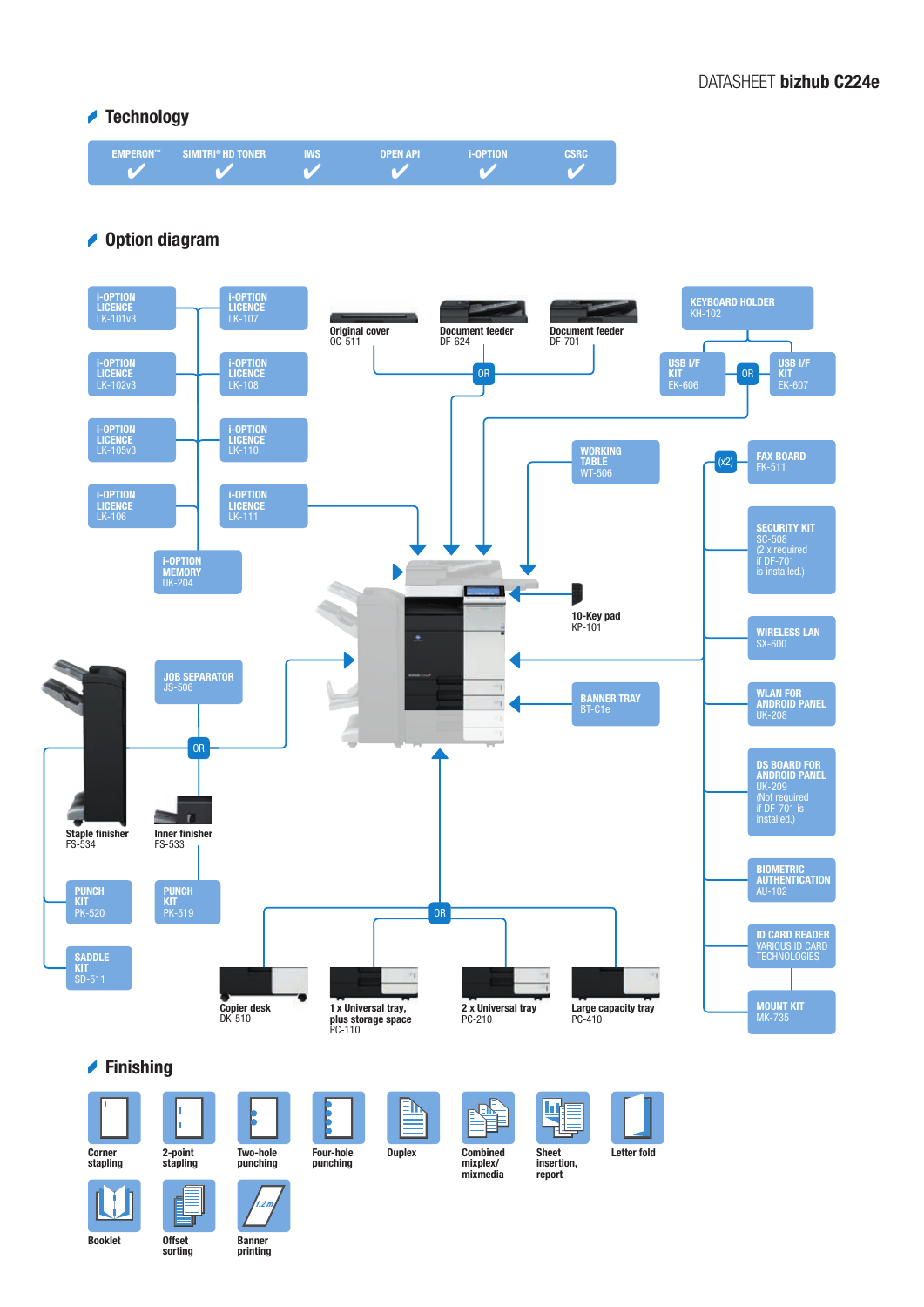## **▲ Technology**



## **▲ Option diagram**







2-point stapling

h

凬



Four-hole punching



mixmedia

Щ Ţ. **Sheet** 



insertion, report

Letter fold

Booklet Offset

L.

sorting

Banner printing

 $\overline{2}$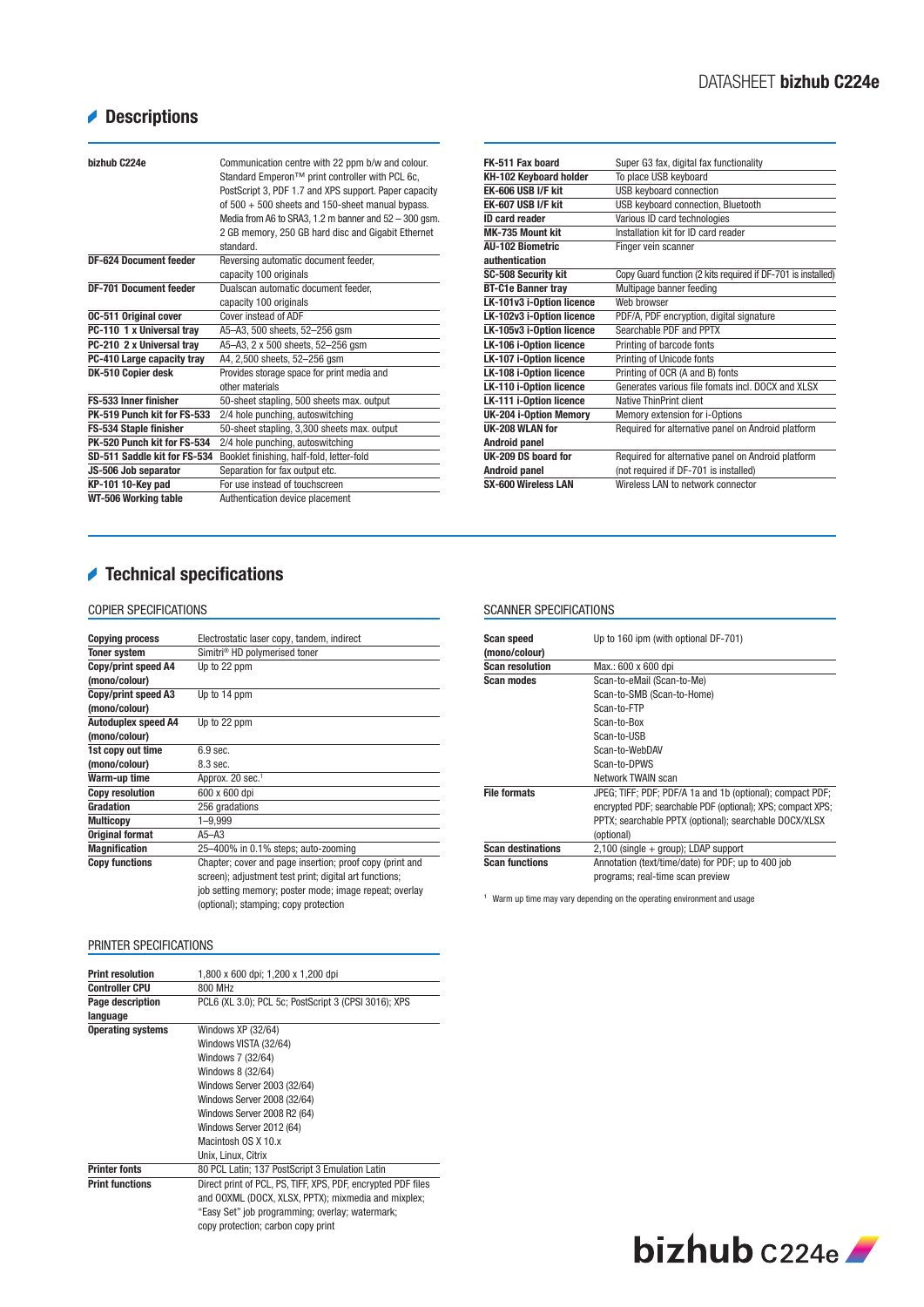# **Descriptions**

| hizhuh C224e                  | Communication centre with 22 ppm b/w and colour.<br>Standard Emperon™ print controller with PCL 6c,<br>PostScript 3, PDF 1.7 and XPS support. Paper capacity<br>of $500 + 500$ sheets and 150-sheet manual bypass.<br>Media from A6 to SRA3, 1.2 m banner and 52 - 300 gsm.<br>2 GB memory, 250 GB hard disc and Gigabit Ethernet<br>standard. |
|-------------------------------|------------------------------------------------------------------------------------------------------------------------------------------------------------------------------------------------------------------------------------------------------------------------------------------------------------------------------------------------|
| <b>DF-624 Document feeder</b> | Reversing automatic document feeder,                                                                                                                                                                                                                                                                                                           |
|                               | capacity 100 originals                                                                                                                                                                                                                                                                                                                         |
| <b>DF-701 Document feeder</b> | Dualscan automatic document feeder.                                                                                                                                                                                                                                                                                                            |
|                               | capacity 100 originals                                                                                                                                                                                                                                                                                                                         |
| <b>0C-511 Original cover</b>  | Cover instead of ADF                                                                                                                                                                                                                                                                                                                           |
| PC-110 1 x Universal tray     | A5-A3, 500 sheets, 52-256 qsm                                                                                                                                                                                                                                                                                                                  |
| PC-210 2 x Universal tray     | A5-A3, 2 x 500 sheets, 52-256 gsm                                                                                                                                                                                                                                                                                                              |
| PC-410 Large capacity tray    | A4, 2,500 sheets, 52-256 gsm                                                                                                                                                                                                                                                                                                                   |
| DK-510 Copier desk            | Provides storage space for print media and                                                                                                                                                                                                                                                                                                     |
|                               | other materials                                                                                                                                                                                                                                                                                                                                |
| FS-533 Inner finisher         | 50-sheet stapling, 500 sheets max. output                                                                                                                                                                                                                                                                                                      |
| PK-519 Punch kit for FS-533   | 2/4 hole punching, autoswitching                                                                                                                                                                                                                                                                                                               |
| FS-534 Staple finisher        | 50-sheet stapling, 3,300 sheets max. output                                                                                                                                                                                                                                                                                                    |
| PK-520 Punch kit for FS-534   | 2/4 hole punching, autoswitching                                                                                                                                                                                                                                                                                                               |
| SD-511 Saddle kit for FS-534  | Booklet finishing, half-fold, letter-fold                                                                                                                                                                                                                                                                                                      |
| JS-506 Job separator          | Separation for fax output etc.                                                                                                                                                                                                                                                                                                                 |
| KP-101 10-Key pad             | For use instead of touchscreen                                                                                                                                                                                                                                                                                                                 |
| WT-506 Working table          | Authentication device placement                                                                                                                                                                                                                                                                                                                |

| FK-511 Fax board               | Super G3 fax, digital fax functionality                      |
|--------------------------------|--------------------------------------------------------------|
| KH-102 Keyboard holder         | To place USB keyboard                                        |
| <b>EK-606 USB I/F kit</b>      | USB keyboard connection                                      |
| EK-607 USB I/F kit             | USB keyboard connection, Bluetooth                           |
| <b>ID card reader</b>          | Various ID card technologies                                 |
| MK-735 Mount kit               | Installation kit for ID card reader                          |
| All-102 Biometric              | Finger vein scanner                                          |
| authentication                 |                                                              |
| <b>SC-508 Security kit</b>     | Copy Guard function (2 kits required if DF-701 is installed) |
| <b>BT-C1e Banner tray</b>      | Multipage banner feeding                                     |
| LK-101v3 i-Option licence      | Web browser                                                  |
| LK-102v3 i-Option licence      | PDF/A, PDF encryption, digital signature                     |
| LK-105v3 i-Option licence      | Searchable PDF and PPTX                                      |
| LK-106 i-Option licence        | Printing of barcode fonts                                    |
| <b>LK-107 i-Option licence</b> | Printing of Unicode fonts                                    |
| <b>LK-108 i-Option licence</b> | Printing of OCR (A and B) fonts                              |
| LK-110 i-Option licence        | Generates various file fomats incl. DOCX and XLSX            |
| LK-111 i-Option licence        | Native ThinPrint client                                      |
| UK-204 i-Option Memory         | Memory extension for i-Options                               |
| UK-208 WLAN for                | Required for alternative panel on Android platform           |
| Android panel                  |                                                              |
| UK-209 DS board for            | Required for alternative panel on Android platform           |
| Android panel                  | (not required if DF-701 is installed)                        |
| <b>SX-600 Wireless LAN</b>     | Wireless I AN to network connector                           |

# Technical specifications

## COPIER SPECIFICATIONS

| <b>Copying process</b>     | Electrostatic laser copy, tandem, indirect               |
|----------------------------|----------------------------------------------------------|
| Toner system               | Simitri <sup>®</sup> HD polymerised toner                |
| Copy/print speed A4        | Up to 22 ppm                                             |
| (mono/colour)              |                                                          |
| Copy/print speed A3        | Up to 14 ppm                                             |
| (mono/colour)              |                                                          |
| <b>Autoduplex speed A4</b> | Up to 22 ppm                                             |
| (mono/colour)              |                                                          |
| 1st copy out time          | $6.9$ sec.                                               |
| (mono/colour)              | 8.3 sec.                                                 |
| Warm-up time               | Approx. 20 sec. <sup>1</sup>                             |
| <b>Copy resolution</b>     | 600 x 600 dpi                                            |
| Gradation                  | 256 gradations                                           |
| <b>Multicopy</b>           | $1 - 9,999$                                              |
| <b>Original format</b>     | $A5 - A3$                                                |
| <b>Magnification</b>       | 25-400% in 0.1% steps; auto-zooming                      |
| <b>Copy functions</b>      | Chapter; cover and page insertion; proof copy (print and |
|                            | screen); adjustment test print; digital art functions;   |
|                            | job setting memory; poster mode; image repeat; overlay   |
|                            | (optional); stamping; copy protection                    |

## PRINTER SPECIFICATIONS

| <b>Print resolution</b>  | 1,800 x 600 dpi; 1,200 x 1,200 dpi                           |
|--------------------------|--------------------------------------------------------------|
| <b>Controller CPU</b>    | 800 MHz                                                      |
| Page description         | PCL6 (XL 3.0); PCL 5c; PostScript 3 (CPSI 3016); XPS         |
| language                 |                                                              |
| <b>Operating systems</b> | Windows XP (32/64)                                           |
|                          | Windows VISTA (32/64)                                        |
|                          | Windows 7 (32/64)                                            |
|                          | Windows 8 (32/64)                                            |
|                          | Windows Server 2003 (32/64)                                  |
|                          | Windows Server 2008 (32/64)                                  |
|                          | Windows Server 2008 R2 (64)                                  |
|                          | Windows Server 2012 (64)                                     |
|                          | Macintosh OS X 10 x                                          |
|                          | Unix, Linux, Citrix                                          |
| <b>Printer fonts</b>     | 80 PCL Latin; 137 PostScript 3 Emulation Latin               |
| <b>Print functions</b>   | Direct print of PCL, PS, TIFF, XPS, PDF, encrypted PDF files |
|                          | and OOXML (DOCX, XLSX, PPTX); mixmedia and mixplex;          |
|                          | "Easy Set" job programming; overlay; watermark;              |
|                          | copy protection; carbon copy print                           |
|                          |                                                              |

#### SCANNER SPECIFICATIONS

| <b>Scan speed</b><br>(mono/colour) | Up to 160 ipm (with optional DF-701)                        |
|------------------------------------|-------------------------------------------------------------|
| <b>Scan resolution</b>             | Max.: 600 x 600 dpi                                         |
| Scan modes                         | Scan-to-eMail (Scan-to-Me)                                  |
|                                    | Scan-to-SMB (Scan-to-Home)                                  |
|                                    | Scan-to-FTP                                                 |
|                                    | Scan-to-Box                                                 |
|                                    | Scan-to-USB                                                 |
|                                    | Scan-to-WebDAV                                              |
|                                    | Scan-to-DPWS                                                |
|                                    | Network TWAIN scan                                          |
| <b>File formats</b>                | JPEG; TIFF; PDF; PDF/A 1a and 1b (optional); compact PDF;   |
|                                    | encrypted PDF; searchable PDF (optional); XPS; compact XPS; |
|                                    | PPTX; searchable PPTX (optional); searchable DOCX/XLSX      |
|                                    | (optional)                                                  |
| <b>Scan destinations</b>           | $2,100$ (single $+$ group); LDAP support                    |
| <b>Scan functions</b>              | Annotation (text/time/date) for PDF; up to 400 job          |
|                                    | programs; real-time scan preview                            |

<sup>1</sup> Warm up time may vary depending on the operating environment and usage